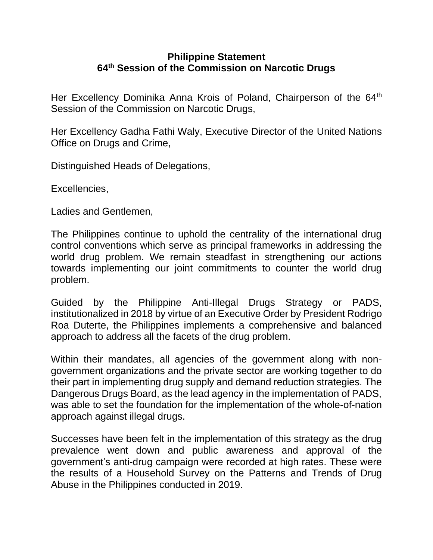## **Philippine Statement 64th Session of the Commission on Narcotic Drugs**

Her Excellency Dominika Anna Krois of Poland, Chairperson of the 64<sup>th</sup> Session of the Commission on Narcotic Drugs,

Her Excellency Gadha Fathi Waly, Executive Director of the United Nations Office on Drugs and Crime,

Distinguished Heads of Delegations,

Excellencies,

Ladies and Gentlemen,

The Philippines continue to uphold the centrality of the international drug control conventions which serve as principal frameworks in addressing the world drug problem. We remain steadfast in strengthening our actions towards implementing our joint commitments to counter the world drug problem.

Guided by the Philippine Anti-Illegal Drugs Strategy or PADS, institutionalized in 2018 by virtue of an Executive Order by President Rodrigo Roa Duterte, the Philippines implements a comprehensive and balanced approach to address all the facets of the drug problem.

Within their mandates, all agencies of the government along with nongovernment organizations and the private sector are working together to do their part in implementing drug supply and demand reduction strategies. The Dangerous Drugs Board, as the lead agency in the implementation of PADS, was able to set the foundation for the implementation of the whole-of-nation approach against illegal drugs.

Successes have been felt in the implementation of this strategy as the drug prevalence went down and public awareness and approval of the government's anti-drug campaign were recorded at high rates. These were the results of a Household Survey on the Patterns and Trends of Drug Abuse in the Philippines conducted in 2019.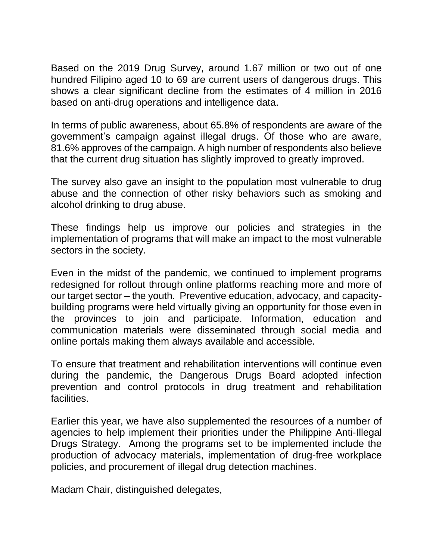Based on the 2019 Drug Survey, around 1.67 million or two out of one hundred Filipino aged 10 to 69 are current users of dangerous drugs. This shows a clear significant decline from the estimates of 4 million in 2016 based on anti-drug operations and intelligence data.

In terms of public awareness, about 65.8% of respondents are aware of the government's campaign against illegal drugs. Of those who are aware, 81.6% approves of the campaign. A high number of respondents also believe that the current drug situation has slightly improved to greatly improved.

The survey also gave an insight to the population most vulnerable to drug abuse and the connection of other risky behaviors such as smoking and alcohol drinking to drug abuse.

These findings help us improve our policies and strategies in the implementation of programs that will make an impact to the most vulnerable sectors in the society.

Even in the midst of the pandemic, we continued to implement programs redesigned for rollout through online platforms reaching more and more of our target sector – the youth. Preventive education, advocacy, and capacitybuilding programs were held virtually giving an opportunity for those even in the provinces to join and participate. Information, education and communication materials were disseminated through social media and online portals making them always available and accessible.

To ensure that treatment and rehabilitation interventions will continue even during the pandemic, the Dangerous Drugs Board adopted infection prevention and control protocols in drug treatment and rehabilitation facilities.

Earlier this year, we have also supplemented the resources of a number of agencies to help implement their priorities under the Philippine Anti-Illegal Drugs Strategy. Among the programs set to be implemented include the production of advocacy materials, implementation of drug-free workplace policies, and procurement of illegal drug detection machines.

Madam Chair, distinguished delegates,